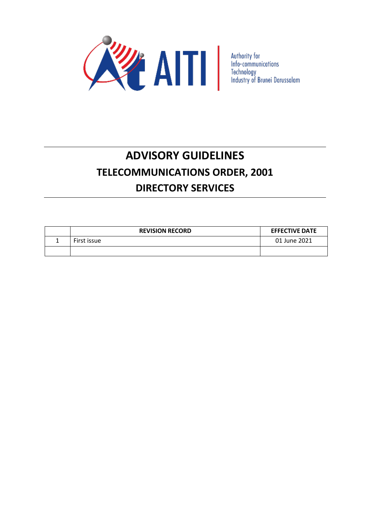

# **ADVISORY GUIDELINES TELECOMMUNICATIONS ORDER, 2001 DIRECTORY SERVICES**

| <b>REVISION RECORD</b> | <b>EFFECTIVE DATE</b> |
|------------------------|-----------------------|
| First issue            | 01 June 2021          |
|                        |                       |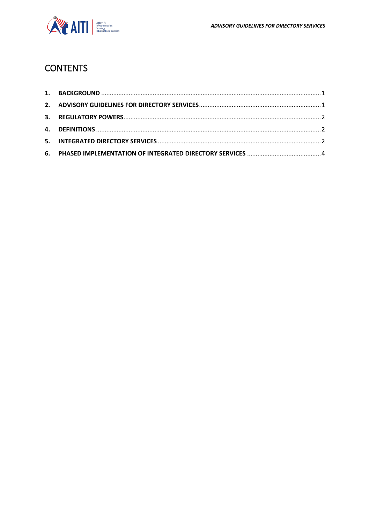

# **CONTENTS**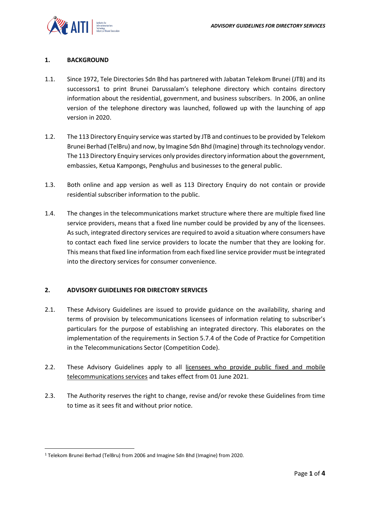# <span id="page-2-0"></span>**1. BACKGROUND**

- 1.1. Since 1972, Tele Directories Sdn Bhd has partnered with Jabatan Telekom Brunei (JTB) and its successors1 to print Brunei Darussalam's telephone directory which contains directory information about the residential, government, and business subscribers. In 2006, an online version of the telephone directory was launched, followed up with the launching of app version in 2020.
- 1.2. The 113 Directory Enquiry service was started by JTB and continues to be provided by Telekom Brunei Berhad (TelBru) and now, by Imagine Sdn Bhd (Imagine) through its technology vendor. The 113 Directory Enquiry services only provides directory information about the government, embassies, Ketua Kampongs, Penghulus and businesses to the general public.
- 1.3. Both online and app version as well as 113 Directory Enquiry do not contain or provide residential subscriber information to the public.
- 1.4. The changes in the telecommunications market structure where there are multiple fixed line service providers, means that a fixed line number could be provided by any of the licensees. As such, integrated directory services are required to avoid a situation where consumers have to contact each fixed line service providers to locate the number that they are looking for. This means that fixed line information from each fixed line service provider must be integrated into the directory services for consumer convenience.

## <span id="page-2-1"></span>**2. ADVISORY GUIDELINES FOR DIRECTORY SERVICES**

- 2.1. These Advisory Guidelines are issued to provide guidance on the availability, sharing and terms of provision by telecommunications licensees of information relating to subscriber's particulars for the purpose of establishing an integrated directory. This elaborates on the implementation of the requirements in Section 5.7.4 of the Code of Practice for Competition in the Telecommunications Sector (Competition Code).
- 2.2. These Advisory Guidelines apply to all licensees who provide public fixed and mobile telecommunications services and takes effect from 01 June 2021.
- 2.3. The Authority reserves the right to change, revise and/or revoke these Guidelines from time to time as it sees fit and without prior notice.

 $\overline{a}$ 

<sup>1</sup> Telekom Brunei Berhad (TelBru) from 2006 and Imagine Sdn Bhd (Imagine) from 2020.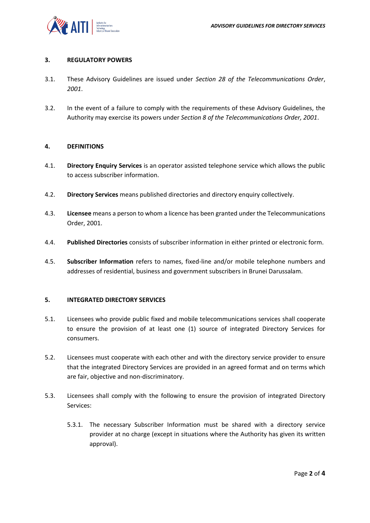## <span id="page-3-0"></span>**3. REGULATORY POWERS**

- 3.1. These Advisory Guidelines are issued under *Section 28 of the Telecommunications Order*, *2001*.
- 3.2. In the event of a failure to comply with the requirements of these Advisory Guidelines, the Authority may exercise its powers under *Section 8 of the Telecommunications Order, 2001*.

#### <span id="page-3-1"></span>**4. DEFINITIONS**

- 4.1. **Directory Enquiry Services** is an operator assisted telephone service which allows the public to access subscriber information.
- 4.2. **Directory Services** means published directories and directory enquiry collectively.
- 4.3. **Licensee** means a person to whom a licence has been granted under the Telecommunications Order, 2001.
- 4.4. **Published Directories** consists of subscriber information in either printed or electronic form.
- 4.5. **Subscriber Information** refers to names, fixed-line and/or mobile telephone numbers and addresses of residential, business and government subscribers in Brunei Darussalam.

#### <span id="page-3-2"></span>**5. INTEGRATED DIRECTORY SERVICES**

- 5.1. Licensees who provide public fixed and mobile telecommunications services shall cooperate to ensure the provision of at least one (1) source of integrated Directory Services for consumers.
- 5.2. Licensees must cooperate with each other and with the directory service provider to ensure that the integrated Directory Services are provided in an agreed format and on terms which are fair, objective and non-discriminatory.
- 5.3. Licensees shall comply with the following to ensure the provision of integrated Directory Services:
	- 5.3.1. The necessary Subscriber Information must be shared with a directory service provider at no charge (except in situations where the Authority has given its written approval).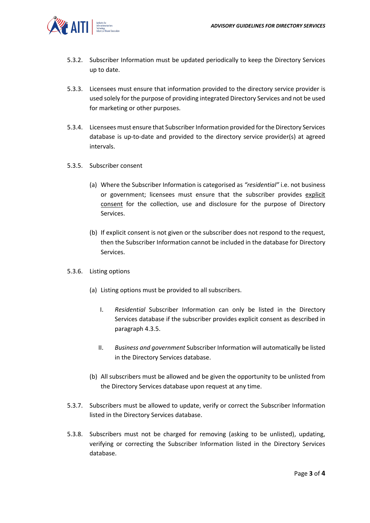

- 5.3.2. Subscriber Information must be updated periodically to keep the Directory Services up to date.
- 5.3.3. Licensees must ensure that information provided to the directory service provider is used solely for the purpose of providing integrated Directory Services and not be used for marketing or other purposes.
- 5.3.4. Licensees must ensure that Subscriber Information provided for the Directory Services database is up-to-date and provided to the directory service provider(s) at agreed intervals.
- 5.3.5. Subscriber consent
	- (a) Where the Subscriber Information is categorised as *"residential"* i.e. not business or government; licensees must ensure that the subscriber provides explicit consent for the collection, use and disclosure for the purpose of Directory Services.
	- (b) If explicit consent is not given or the subscriber does not respond to the request, then the Subscriber Information cannot be included in the database for Directory Services.
- 5.3.6. Listing options
	- (a) Listing options must be provided to all subscribers.
		- I. *Residential* Subscriber Information can only be listed in the Directory Services database if the subscriber provides explicit consent as described in paragraph 4.3.5.
		- II. *Business and government* Subscriber Information will automatically be listed in the Directory Services database.
	- (b) All subscribers must be allowed and be given the opportunity to be unlisted from the Directory Services database upon request at any time.
- 5.3.7. Subscribers must be allowed to update, verify or correct the Subscriber Information listed in the Directory Services database.
- 5.3.8. Subscribers must not be charged for removing (asking to be unlisted), updating, verifying or correcting the Subscriber Information listed in the Directory Services database.